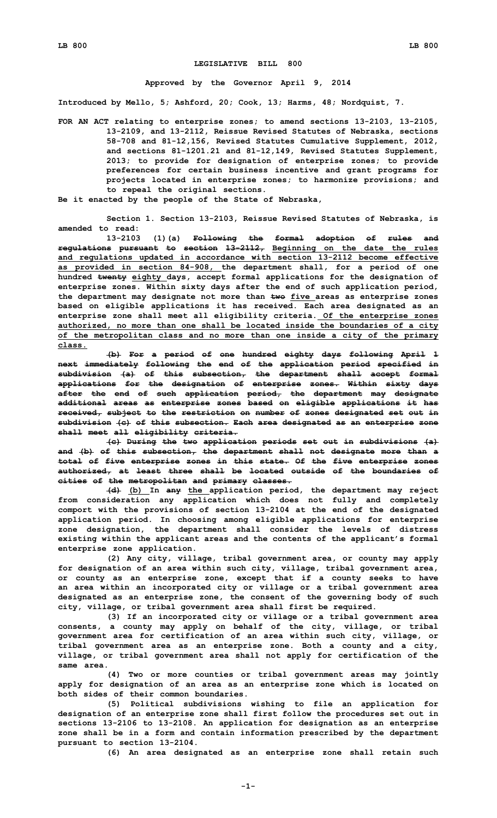## **LEGISLATIVE BILL 800**

## **Approved by the Governor April 9, 2014**

**Introduced by Mello, 5; Ashford, 20; Cook, 13; Harms, 48; Nordquist, 7.**

- **FOR AN ACT relating to enterprise zones; to amend sections 13-2103, 13-2105, 13-2109, and 13-2112, Reissue Revised Statutes of Nebraska, sections 58-708 and 81-12,156, Revised Statutes Cumulative Supplement, 2012, and sections 81-1201.21 and 81-12,149, Revised Statutes Supplement, 2013; to provide for designation of enterprise zones; to provide preferences for certain business incentive and grant programs for projects located in enterprise zones; to harmonize provisions; and to repeal the original sections.**
- **Be it enacted by the people of the State of Nebraska,**

**Section 1. Section 13-2103, Reissue Revised Statutes of Nebraska, is amended to read:**

**13-2103 (1)(a) Following the formal adoption of rules and regulations pursuant to section 13-2112, Beginning on the date the rules and regulations updated in accordance with section 13-2112 become effective as provided in section 84-908, the department shall, for <sup>a</sup> period of one hundred twenty eighty days, accept formal applications for the designation of enterprise zones. Within sixty days after the end of such application period, the department may designate not more than two five areas as enterprise zones based on eligible applications it has received. Each area designated as an enterprise zone shall meet all eligibility criteria. Of the enterprise zones authorized, no more than one shall be located inside the boundaries of <sup>a</sup> city of the metropolitan class and no more than one inside <sup>a</sup> city of the primary class.**

**(b) For <sup>a</sup> period of one hundred eighty days following April 1 next immediately following the end of the application period specified in subdivision (a) of this subsection, the department shall accept formal applications for the designation of enterprise zones. Within sixty days after the end of such application period, the department may designate additional areas as enterprise zones based on eligible applications it has received, subject to the restriction on number of zones designated set out in subdivision (c) of this subsection. Each area designated as an enterprise zone shall meet all eligibility criteria.**

**(c) During the two application periods set out in subdivisions (a) and (b) of this subsection, the department shall not designate more than <sup>a</sup> total of five enterprise zones in this state. Of the five enterprise zones authorized, at least three shall be located outside of the boundaries of cities of the metropolitan and primary classes.**

**(d) (b) In any the application period, the department may reject from consideration any application which does not fully and completely comport with the provisions of section 13-2104 at the end of the designated application period. In choosing among eligible applications for enterprise zone designation, the department shall consider the levels of distress existing within the applicant areas and the contents of the applicant's formal enterprise zone application.**

**(2) Any city, village, tribal government area, or county may apply for designation of an area within such city, village, tribal government area, or county as an enterprise zone, except that if <sup>a</sup> county seeks to have an area within an incorporated city or village or <sup>a</sup> tribal government area designated as an enterprise zone, the consent of the governing body of such city, village, or tribal government area shall first be required.**

**(3) If an incorporated city or village or <sup>a</sup> tribal government area consents, <sup>a</sup> county may apply on behalf of the city, village, or tribal government area for certification of an area within such city, village, or tribal government area as an enterprise zone. Both <sup>a</sup> county and <sup>a</sup> city, village, or tribal government area shall not apply for certification of the same area.**

**(4) Two or more counties or tribal government areas may jointly apply for designation of an area as an enterprise zone which is located on both sides of their common boundaries.**

**(5) Political subdivisions wishing to file an application for designation of an enterprise zone shall first follow the procedures set out in sections 13-2106 to 13-2108. An application for designation as an enterprise zone shall be in <sup>a</sup> form and contain information prescribed by the department pursuant to section 13-2104.**

**(6) An area designated as an enterprise zone shall retain such**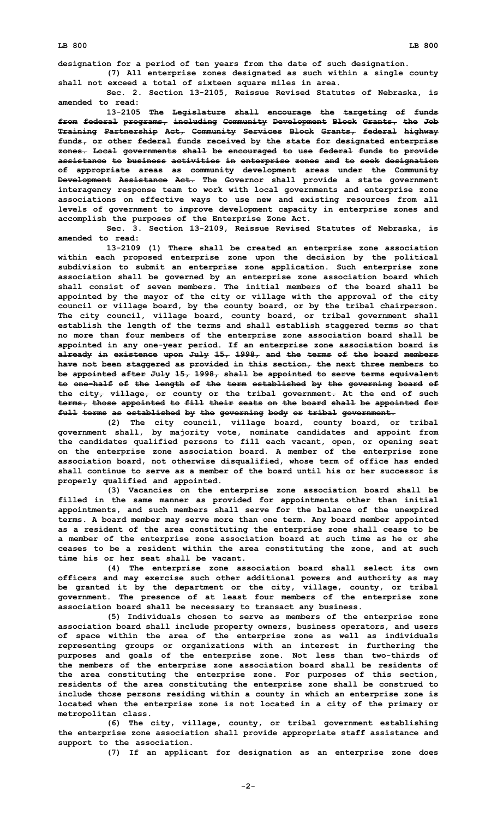**designation for <sup>a</sup> period of ten years from the date of such designation. (7) All enterprise zones designated as such within <sup>a</sup> single county**

**shall not exceed <sup>a</sup> total of sixteen square miles in area. Sec. 2. Section 13-2105, Reissue Revised Statutes of Nebraska, is**

**amended to read:**

**13-2105 The Legislature shall encourage the targeting of funds from federal programs, including Community Development Block Grants, the Job Training Partnership Act, Community Services Block Grants, federal highway funds, or other federal funds received by the state for designated enterprise zones. Local governments shall be encouraged to use federal funds to provide assistance to business activities in enterprise zones and to seek designation of appropriate areas as community development areas under the Community Development Assistance Act. The Governor shall provide <sup>a</sup> state government interagency response team to work with local governments and enterprise zone associations on effective ways to use new and existing resources from all levels of government to improve development capacity in enterprise zones and accomplish the purposes of the Enterprise Zone Act.**

**Sec. 3. Section 13-2109, Reissue Revised Statutes of Nebraska, is amended to read:**

**13-2109 (1) There shall be created an enterprise zone association within each proposed enterprise zone upon the decision by the political subdivision to submit an enterprise zone application. Such enterprise zone association shall be governed by an enterprise zone association board which shall consist of seven members. The initial members of the board shall be appointed by the mayor of the city or village with the approval of the city council or village board, by the county board, or by the tribal chairperson. The city council, village board, county board, or tribal government shall establish the length of the terms and shall establish staggered terms so that no more than four members of the enterprise zone association board shall be appointed in any one-year period. If an enterprise zone association board is already in existence upon July 15, 1998, and the terms of the board members have not been staggered as provided in this section, the next three members to be appointed after July 15, 1998, shall be appointed to serve terms equivalent to one-half of the length of the term established by the governing board of the city, village, or county or the tribal government. At the end of such terms, those appointed to fill their seats on the board shall be appointed for full terms as established by the governing body or tribal government.**

**(2) The city council, village board, county board, or tribal government shall, by majority vote, nominate candidates and appoint from the candidates qualified persons to fill each vacant, open, or opening seat on the enterprise zone association board. A member of the enterprise zone association board, not otherwise disqualified, whose term of office has ended shall continue to serve as a member of the board until his or her successor is properly qualified and appointed.**

**(3) Vacancies on the enterprise zone association board shall be filled in the same manner as provided for appointments other than initial appointments, and such members shall serve for the balance of the unexpired terms. A board member may serve more than one term. Any board member appointed as <sup>a</sup> resident of the area constituting the enterprise zone shall cease to be <sup>a</sup> member of the enterprise zone association board at such time as he or she ceases to be <sup>a</sup> resident within the area constituting the zone, and at such time his or her seat shall be vacant.**

**(4) The enterprise zone association board shall select its own officers and may exercise such other additional powers and authority as may be granted it by the department or the city, village, county, or tribal government. The presence of at least four members of the enterprise zone association board shall be necessary to transact any business.**

**(5) Individuals chosen to serve as members of the enterprise zone association board shall include property owners, business operators, and users of space within the area of the enterprise zone as well as individuals representing groups or organizations with an interest in furthering the purposes and goals of the enterprise zone. Not less than two-thirds of the members of the enterprise zone association board shall be residents of the area constituting the enterprise zone. For purposes of this section, residents of the area constituting the enterprise zone shall be construed to include those persons residing within <sup>a</sup> county in which an enterprise zone is located when the enterprise zone is not located in <sup>a</sup> city of the primary or metropolitan class.**

**(6) The city, village, county, or tribal government establishing the enterprise zone association shall provide appropriate staff assistance and support to the association.**

**(7) If an applicant for designation as an enterprise zone does**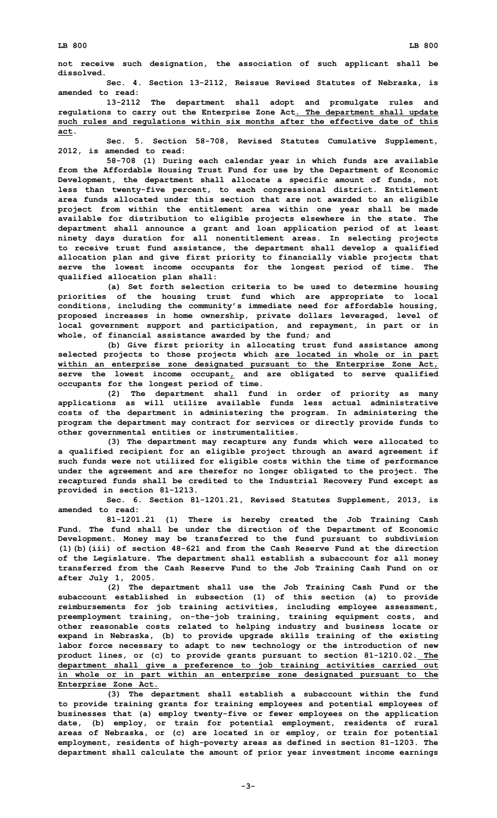**not receive such designation, the association of such applicant shall be dissolved.**

**Sec. 4. Section 13-2112, Reissue Revised Statutes of Nebraska, is amended to read:**

**13-2112 The department shall adopt and promulgate rules and regulations to carry out the Enterprise Zone Act. The department shall update such rules and regulations within six months after the effective date of this act.**

**Sec. 5. Section 58-708, Revised Statutes Cumulative Supplement, 2012, is amended to read:**

**58-708 (1) During each calendar year in which funds are available from the Affordable Housing Trust Fund for use by the Department of Economic Development, the department shall allocate <sup>a</sup> specific amount of funds, not less than twenty-five percent, to each congressional district. Entitlement area funds allocated under this section that are not awarded to an eligible project from within the entitlement area within one year shall be made available for distribution to eligible projects elsewhere in the state. The department shall announce <sup>a</sup> grant and loan application period of at least ninety days duration for all nonentitlement areas. In selecting projects to receive trust fund assistance, the department shall develop <sup>a</sup> qualified allocation plan and give first priority to financially viable projects that serve the lowest income occupants for the longest period of time. The qualified allocation plan shall:**

**(a) Set forth selection criteria to be used to determine housing priorities of the housing trust fund which are appropriate to local conditions, including the community's immediate need for affordable housing, proposed increases in home ownership, private dollars leveraged, level of local government support and participation, and repayment, in part or in whole, of financial assistance awarded by the fund; and**

**(b) Give first priority in allocating trust fund assistance among selected projects to those projects which are located in whole or in part within an enterprise zone designated pursuant to the Enterprise Zone Act, serve the lowest income occupant, and are obligated to serve qualified occupants for the longest period of time.**

**(2) The department shall fund in order of priority as many applications as will utilize available funds less actual administrative costs of the department in administering the program. In administering the program the department may contract for services or directly provide funds to other governmental entities or instrumentalities.**

**(3) The department may recapture any funds which were allocated to <sup>a</sup> qualified recipient for an eligible project through an award agreement if such funds were not utilized for eligible costs within the time of performance under the agreement and are therefor no longer obligated to the project. The recaptured funds shall be credited to the Industrial Recovery Fund except as provided in section 81-1213.**

**Sec. 6. Section 81-1201.21, Revised Statutes Supplement, 2013, is amended to read:**

**81-1201.21 (1) There is hereby created the Job Training Cash Fund. The fund shall be under the direction of the Department of Economic Development. Money may be transferred to the fund pursuant to subdivision (1)(b)(iii) of section 48-621 and from the Cash Reserve Fund at the direction of the Legislature. The department shall establish <sup>a</sup> subaccount for all money transferred from the Cash Reserve Fund to the Job Training Cash Fund on or after July 1, 2005.**

**(2) The department shall use the Job Training Cash Fund or the subaccount established in subsection (1) of this section (a) to provide reimbursements for job training activities, including employee assessment, preemployment training, on-the-job training, training equipment costs, and other reasonable costs related to helping industry and business locate or expand in Nebraska, (b) to provide upgrade skills training of the existing labor force necessary to adapt to new technology or the introduction of new product lines, or (c) to provide grants pursuant to section 81-1210.02. The department shall give <sup>a</sup> preference to job training activities carried out in whole or in part within an enterprise zone designated pursuant to the Enterprise Zone Act.**

**(3) The department shall establish <sup>a</sup> subaccount within the fund to provide training grants for training employees and potential employees of businesses that (a) employ twenty-five or fewer employees on the application date, (b) employ, or train for potential employment, residents of rural areas of Nebraska, or (c) are located in or employ, or train for potential employment, residents of high-poverty areas as defined in section 81-1203. The department shall calculate the amount of prior year investment income earnings**